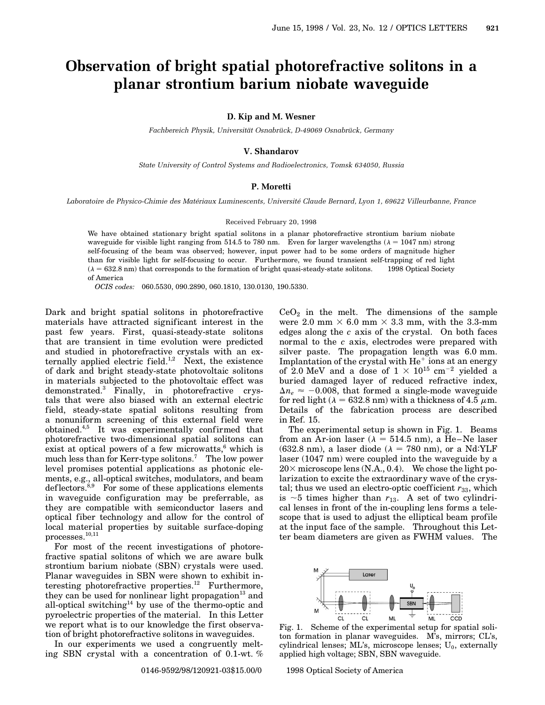# **Observation of bright spatial photorefractive solitons in a planar strontium barium niobate waveguide**

**D. Kip and M. Wesner**

Fachbereich Physik, Universität Osnabrück, D-49069 Osnabrück, Germany

## **V. Shandarov**

*State University of Control Systems and Radioelectronics, Tomsk 634050, Russia*

### **P. Moretti**

Laboratoire de Physico-Chimie des Matériaux Luminescents, Université Claude Bernard, Lyon 1, 69622 Villeurbanne, France

#### Received February 20, 1998

We have obtained stationary bright spatial solitons in a planar photorefractive strontium barium niobate waveguide for visible light ranging from 514.5 to 780 nm. Even for larger wavelengths ( $\lambda = 1047$  nm) strong self-focusing of the beam was observed; however, input power had to be some orders of magnitude higher than for visible light for self-focusing to occur. Furthermore, we found transient self-trapping of red light  $(\lambda = 632.8 \text{ nm})$  that corresponds to the formation of bright quasi-steady-state solitons.  $\circ$  1998 Optical Society of America

*OCIS codes:* 060.5530, 090.2890, 060.1810, 130.0130, 190.5330.

Dark and bright spatial solitons in photorefractive materials have attracted significant interest in the past few years. First, quasi-steady-state solitons that are transient in time evolution were predicted and studied in photorefractive crystals with an externally applied electric field.<sup>1,2</sup> Next, the existence of dark and bright steady-state photovoltaic solitons in materials subjected to the photovoltaic effect was demonstrated.<sup>3</sup> Finally, in photorefractive crystals that were also biased with an external electric field, steady-state spatial solitons resulting from a nonuniform screening of this external field were obtained.4,5 It was experimentally confirmed that photorefractive two-dimensional spatial solitons can exist at optical powers of a few microwatts, $6$  which is much less than for Kerr-type solitons.7 The low power level promises potential applications as photonic elements, e.g., all-optical switches, modulators, and beam deflectors. ${}^{8,9}$  For some of these applications elements in waveguide configuration may be preferrable, as they are compatible with semiconductor lasers and optical fiber technology and allow for the control of local material properties by suitable surface-doping processes.10,11

For most of the recent investigations of photorefractive spatial solitons of which we are aware bulk strontium barium niobate (SBN) crystals were used. Planar waveguides in SBN were shown to exhibit interesting photorefractive properties.<sup>12</sup> Furthermore, they can be used for nonlinear light propagation<sup>13</sup> and all-optical switching<sup>14</sup> by use of the thermo-optic and pyroelectric properties of the material. In this Letter we report what is to our knowledge the first observation of bright photorefractive solitons in waveguides.

In our experiments we used a congruently melting SBN crystal with a concentration of 0.1-wt. %  $CeO<sub>2</sub>$  in the melt. The dimensions of the sample were 2.0 mm  $\times$  6.0 mm  $\times$  3.3 mm, with the 3.3-mm edges along the *c* axis of the crystal. On both faces normal to the *c* axis, electrodes were prepared with silver paste. The propagation length was 6.0 mm. Implantation of the crystal with  $He^+$  ions at an energy of 2.0 MeV and a dose of  $1 \times 10^{15}$  cm<sup>-2</sup> yielded a buried damaged layer of reduced refractive index,  $\Delta n_e \approx -0.008$ , that formed a single-mode waveguide for red light ( $\lambda = 632.8$  nm) with a thickness of 4.5  $\mu$ m. Details of the fabrication process are described in Ref. 15.

The experimental setup is shown in Fig. 1. Beams from an Ar-ion laser ( $\lambda = 514.5$  nm), a He–Ne laser (632.8 nm), a laser diode ( $\lambda = 780$  nm), or a Nd:YLF laser (1047 nm) were coupled into the waveguide by a  $20\times$  microscope lens (N.A., 0.4). We chose the light polarization to excite the extraordinary wave of the crystal; thus we used an electro-optic coefficient  $r_{33}$ , which is  $\sim$  5 times higher than  $r_{13}$ . A set of two cylindrical lenses in front of the in-coupling lens forms a telescope that is used to adjust the elliptical beam profile at the input face of the sample. Throughout this Letter beam diameters are given as FWHM values. The



Fig. 1. Scheme of the experimental setup for spatial soliton formation in planar waveguides. M's, mirrors; CL's, cylindrical lenses;  $ML$ 's, microscope lenses;  $U_0$ , externally applied high voltage; SBN, SBN waveguide.

0146-9592/98/120921-03\$15.00/0 © 1998 Optical Society of America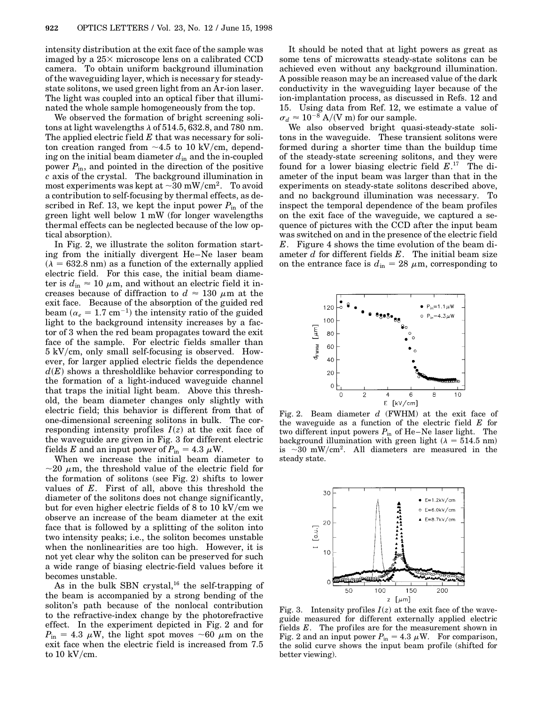intensity distribution at the exit face of the sample was imaged by a  $25\times$  microscope lens on a calibrated CCD camera. To obtain uniform background illumination of the waveguiding layer, which is necessary for steadystate solitons, we used green light from an Ar-ion laser. The light was coupled into an optical fiber that illuminated the whole sample homogeneously from the top.

We observed the formation of bright screening solitons at light wavelengths  $\lambda$  of 514.5, 632.8, and 780 nm. The applied electric field *E* that was necessary for soliton creation ranged from  $\sim$ 4.5 to 10 kV/cm, depending on the initial beam diameter  $d_{\text{in}}$  and the in-coupled power  $P_{\text{in}}$ , and pointed in the direction of the positive *c* axis of the crystal. The background illumination in most experiments was kept at  $\sim 30$  mW/cm<sup>2</sup>. To avoid a contribution to self-focusing by thermal effects, as described in Ref. 13, we kept the input power  $P_{\text{in}}$  of the green light well below 1 mW (for longer wavelengths thermal effects can be neglected because of the low optical absorption).

In Fig. 2, we illustrate the soliton formation starting from the initially divergent He–Ne laser beam  $(\lambda = 632.8 \text{ nm})$  as a function of the externally applied electric field. For this case, the initial beam diameter is  $d_{\text{in}} \approx 10 \ \mu \text{m}$ , and without an electric field it increases because of diffraction to  $d \approx 130 \mu$ m at the exit face. Because of the absorption of the guided red beam  $(\alpha_e = 1.7 \text{ cm}^{-1})$  the intensity ratio of the guided light to the background intensity increases by a factor of 3 when the red beam propagates toward the exit face of the sample. For electric fields smaller than  $5 \text{ kV/cm}$ , only small self-focusing is observed. However, for larger applied electric fields the dependence  $d(E)$  shows a thresholdlike behavior corresponding to the formation of a light-induced waveguide channel that traps the initial light beam. Above this threshold, the beam diameter changes only slightly with electric field; this behavior is different from that of one-dimensional screening solitons in bulk. The corresponding intensity profiles  $I(z)$  at the exit face of the waveguide are given in Fig. 3 for different electric fields *E* and an input power of  $P_{\text{in}} = 4.3 \mu W$ .

When we increase the initial beam diameter to  $\sim$ 20  $\mu$ m, the threshold value of the electric field for the formation of solitons (see Fig. 2) shifts to lower values of *E*. First of all, above this threshold the diameter of the solitons does not change significantly, but for even higher electric fields of  $8$  to  $10 \frac{\mathrm{kV}}{\mathrm{cm}}$  we observe an increase of the beam diameter at the exit face that is followed by a splitting of the soliton into two intensity peaks; i.e., the soliton becomes unstable when the nonlinearities are too high. However, it is not yet clear why the soliton can be preserved for such a wide range of biasing electric-field values before it becomes unstable.

As in the bulk SBN crystal,<sup>16</sup> the self-trapping of the beam is accompanied by a strong bending of the soliton's path because of the nonlocal contribution to the refractive-index change by the photorefractive effect. In the experiment depicted in Fig. 2 and for  $P_{\text{in}} = 4.3 \mu \text{W}$ , the light spot moves  $\sim 60 \mu \text{m}$  on the exit face when the electric field is increased from 7.5 to  $10 \text{ kV/cm}$ .

It should be noted that at light powers as great as some tens of microwatts steady-state solitons can be achieved even without any background illumination. A possible reason may be an increased value of the dark conductivity in the waveguiding layer because of the ion-implantation process, as discussed in Refs. 12 and 15. Using data from Ref. 12, we estimate a value of  $\sigma_d \approx 10^{-8}$  A/(V m) for our sample.

We also observed bright quasi-steady-state solitons in the waveguide. These transient solitons were formed during a shorter time than the buildup time of the steady-state screening solitons, and they were found for a lower biasing electric field *E*. <sup>17</sup> The diameter of the input beam was larger than that in the experiments on steady-state solitons described above, and no background illumination was necessary. To inspect the temporal dependence of the beam profiles on the exit face of the waveguide, we captured a sequence of pictures with the CCD after the input beam was switched on and in the presence of the electric field *E*. Figure 4 shows the time evolution of the beam diameter *d* for different fields *E*. The initial beam size on the entrance face is  $d_{\text{in}} = 28 \mu \text{m}$ , corresponding to



Fig. 2. Beam diameter *d* (FWHM) at the exit face of the waveguide as a function of the electric field *E* for two different input powers  $P_{\text{in}}$  of He–Ne laser light. The background illumination with green light ( $\lambda = 514.5$  nm) is  $\sim$ 30 mW/cm<sup>2</sup>. All diameters are measured in the steady state.



Fig. 3. Intensity profiles  $I(z)$  at the exit face of the waveguide measured for different externally applied electric fields *E*. The profiles are for the measurement shown in Fig. 2 and an input power  $P_{\text{in}} = 4.3 \mu \text{W}$ . For comparison, the solid curve shows the input beam profile (shifted for better viewing).